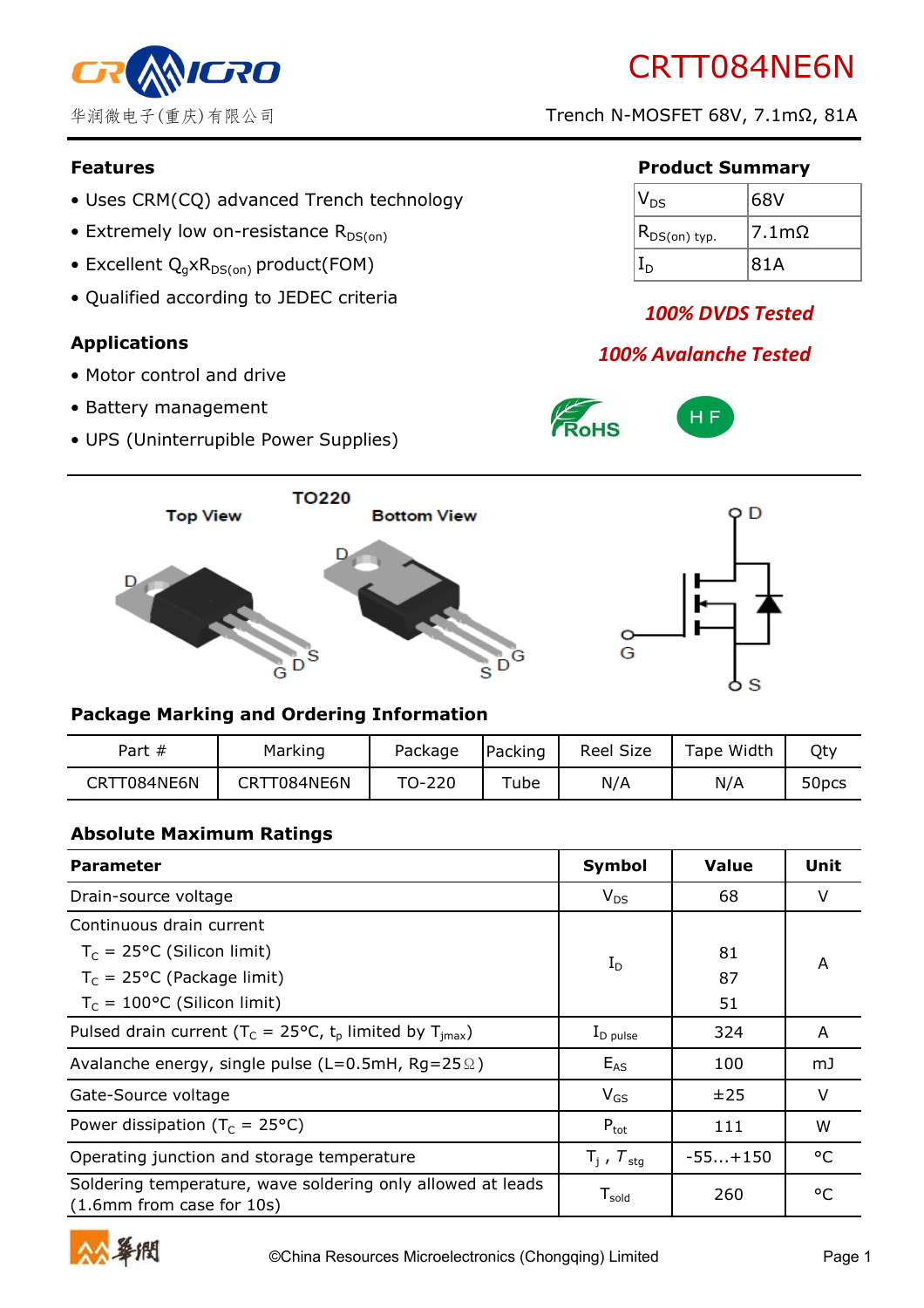

# CRTT084NE6N

华润微电子(重庆)有限公司 Trench N-MOSFET 68V, 7.1mΩ, 81A

- Uses CRM(CQ) advanced Trench technology
- Extremely low on-resistance  $R_{DS(on)}$
- Excellent  $Q_q \times R_{DS(on)}$  product(FOM)
- Qualified according to JEDEC criteria

### **Applications**

- Motor control and drive
- Battery management
- UPS (Uninterrupible Power Supplies)

#### **Features Product Summary**

| $\mathsf{V}_{\mathsf{DS}}$ | 68V              |
|----------------------------|------------------|
| $(R_{DS(on) \; typ.})$     | 7.1 <sub>m</sub> |
|                            | 81A              |

# *100% DVDS Tested*

# *100% Avalanche Tested*







### **Package Marking and Ordering Information**

| Part $#$    | Marking     | Package | Packing | <b>Reel Size</b> | Tape Width | Qty               |
|-------------|-------------|---------|---------|------------------|------------|-------------------|
| CRTT084NE6N | CRTT084NE6N | TO-220  | Tube    | N/A              | N/A        | 50 <sub>pcs</sub> |

#### **Absolute Maximum Ratings**

| <b>Parameter</b>                                                                         | Symbol                        | <b>Value</b> | Unit    |
|------------------------------------------------------------------------------------------|-------------------------------|--------------|---------|
| Drain-source voltage                                                                     | $V_{DS}$                      | 68           | $\vee$  |
| Continuous drain current                                                                 |                               |              |         |
| $T_c = 25$ °C (Silicon limit)                                                            | $I_D$                         | 81           | A       |
| $T_c$ = 25°C (Package limit)                                                             |                               | 87           |         |
| $T_c = 100$ °C (Silicon limit)                                                           |                               | 51           |         |
| Pulsed drain current ( $T_c = 25^{\circ}C$ , $t_p$ limited by $T_{\text{imax}}$ )        | $I_{\text{D pulse}}$          | 324          | A       |
| Avalanche energy, single pulse (L=0.5mH, Rg=25 $\Omega$ )                                | $E_{AS}$                      | 100          | mJ      |
| Gate-Source voltage                                                                      | $V_{GS}$                      | ±25          | $\vee$  |
| Power dissipation ( $T_c = 25^{\circ}C$ )                                                | $P_{\text{tot}}$              | 111          | W       |
| Operating junction and storage temperature                                               | $T_i$ , $T_{\text{stg}}$      | $-55+150$    | °C      |
| Soldering temperature, wave soldering only allowed at leads<br>(1.6mm from case for 10s) | ${\mathsf T}_{\mathsf{gold}}$ | 260          | $\circ$ |

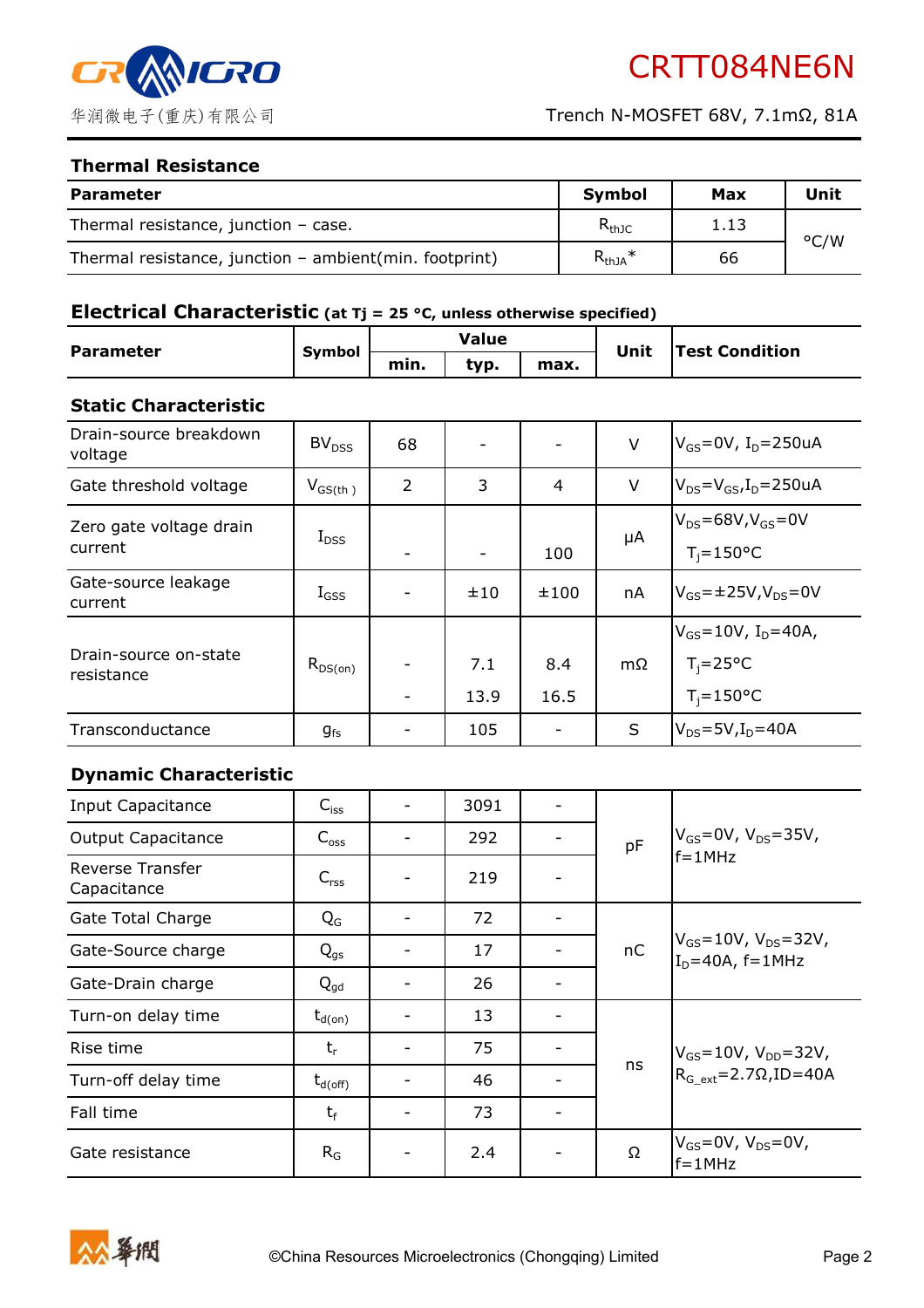

#### **Thermal Resistance**

| <b>Parameter</b>                                        | <b>Symbol</b> | Max  | Unit |
|---------------------------------------------------------|---------------|------|------|
| Thermal resistance, junction $-$ case.                  | $R_{thJC}$    | 1.13 | °C/W |
| Thermal resistance, junction - ambient (min. footprint) | $R_{thJA}$ *  | 66   |      |

#### **Electrical Characteristic (at Tj = 25 °C, unless otherwise specified)**

| <b>Parameter</b> | <b>Symbol</b> | Value |      |      | Unit | <b>Test Condition</b> |
|------------------|---------------|-------|------|------|------|-----------------------|
|                  |               | min.  | typ. | max. |      |                       |

#### **Static Characteristic**

| Drain-source breakdown<br>voltage   | BV <sub>DSS</sub> | 68 |             |                | V  | $V_{GS}$ =0V, I <sub>D</sub> =250uA                                            |
|-------------------------------------|-------------------|----|-------------|----------------|----|--------------------------------------------------------------------------------|
| Gate threshold voltage              | $V_{GS(th)}$      | 2  | 3           | $\overline{4}$ | V  | $V_{DS} = V_{GS}I_D = 250uA$                                                   |
| Zero gate voltage drain<br>current  | $I_{DSS}$         |    |             | 100            | μA | $V_{DS}$ =68V,V <sub>GS</sub> =0V<br>$T_i = 150$ °C                            |
| Gate-source leakage<br>current      | $I_{GSS}$         |    | ±10         | ±100           | nA | $V_{GS}$ =±25V,V <sub>DS</sub> =0V                                             |
| Drain-source on-state<br>resistance | $R_{DS(on)}$      |    | 7.1<br>13.9 | 8.4<br>16.5    | mΩ | $V_{GS} = 10V$ , I <sub>D</sub> =40A,<br>$T_i = 25^{\circ}C$<br>$T_i = 150$ °C |
| Transconductance                    | $g_{fs}$          |    | 105         | -              | S  | $V_{DS} = 5V$ , $I_D = 40A$                                                    |

#### **Dynamic Characteristic**

| Input Capacitance               | $C_{iss}$                                                       | 3091 |  | pF |                                                                  |
|---------------------------------|-----------------------------------------------------------------|------|--|----|------------------------------------------------------------------|
| <b>Output Capacitance</b>       | $C_{\text{oss}}$                                                | 292  |  |    | $V_{GS} = 0V$ , $V_{DS} = 35V$ ,<br>$f = 1$ MHz                  |
| Reverse Transfer<br>Capacitance | $C_{\text{rss}}$                                                | 219  |  |    |                                                                  |
| <b>Gate Total Charge</b>        | $Q_{G}$                                                         | 72   |  |    |                                                                  |
| Gate-Source charge              | $Q_{gs}$                                                        | 17   |  | nC | $V_{GS} = 10V$ , $V_{DS} = 32V$ ,<br>$I_D = 40A$ , $f = 1MHz$    |
| Gate-Drain charge               | $Q_{qd}$                                                        | 26   |  |    |                                                                  |
| Turn-on delay time              | $\textnormal{t}_{\textnormal{\scriptsize d}( \textnormal{on})}$ | 13   |  |    | $V_{GS} = 10V$ , $V_{DD} = 32V$ ,<br>$RG ext=2.7\Omega$ , ID=40A |
| Rise time                       | $t_{r}$                                                         | 75   |  |    |                                                                  |
| Turn-off delay time             | $\rm t_{d(off)}$                                                | 46   |  | ns |                                                                  |
| Fall time                       | $t_f$                                                           | 73   |  |    |                                                                  |
| Gate resistance                 | $R_G$                                                           | 2.4  |  | Ω  | $V_{GS}$ =0V, V <sub>DS</sub> =0V,<br>$f = 1$ MHz                |

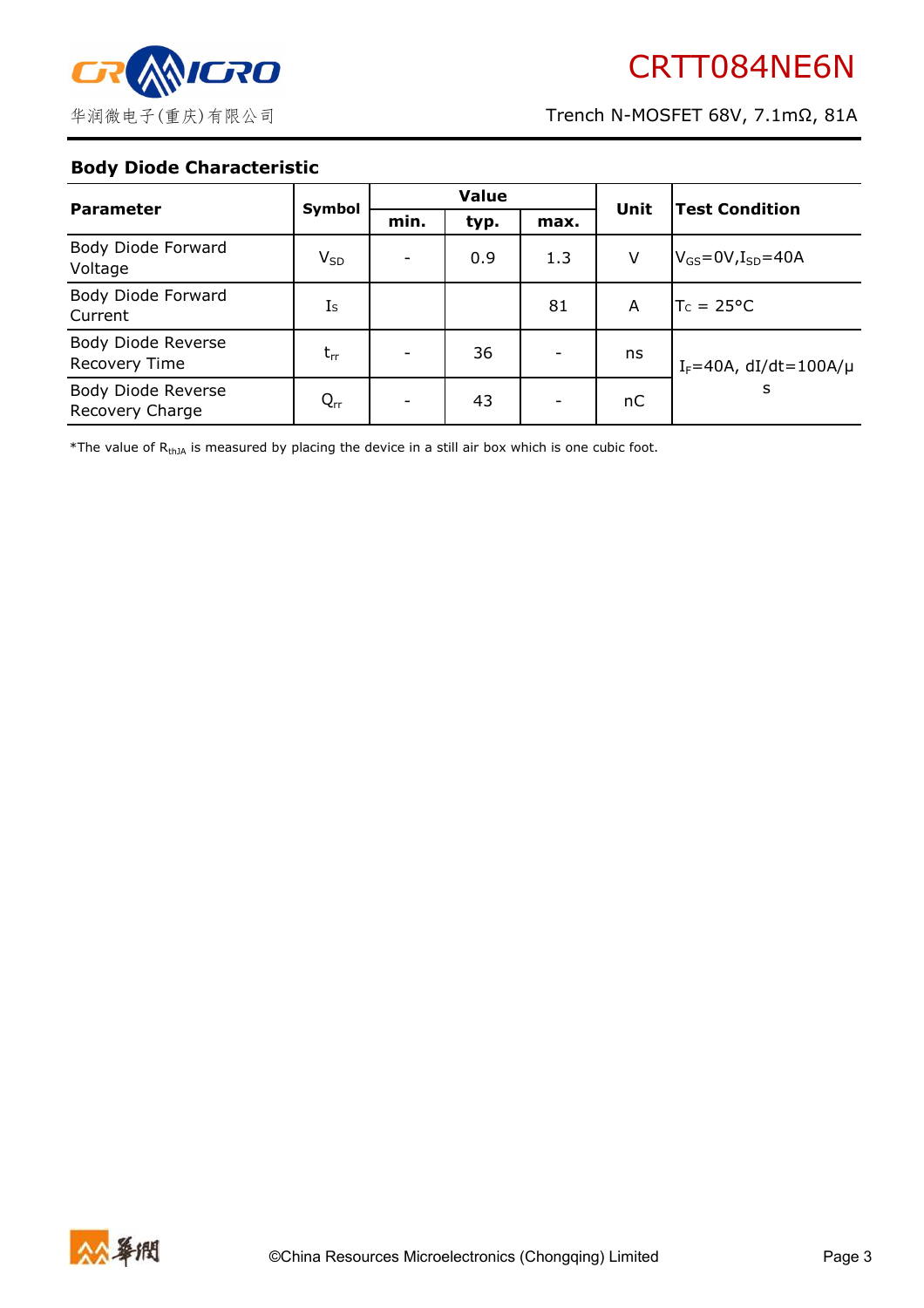

### **Body Diode Characteristic**

| <b>Parameter</b>                           | Symbol   | <b>Value</b> |      |                          | Unit | <b>Test Condition</b>           |  |
|--------------------------------------------|----------|--------------|------|--------------------------|------|---------------------------------|--|
|                                            |          | min.         | typ. | max.                     |      |                                 |  |
| Body Diode Forward<br>Voltage              | $V_{SD}$ |              | 0.9  | 1.3                      | V    | $V_{GS}$ =0V, $I_{SD}$ =40A     |  |
| Body Diode Forward<br>Current              | Is       |              |      | 81                       | A    | $TC = 25^{\circ}C$              |  |
| Body Diode Reverse<br><b>Recovery Time</b> | $t_{rr}$ |              | 36   | $\overline{\phantom{a}}$ | ns   | $I_F = 40A$ , dI/dt=100A/ $\mu$ |  |
| Body Diode Reverse<br>Recovery Charge      | $Q_{rr}$ |              | 43   | -                        | пC   | s                               |  |

\*The value of  $R_{thJA}$  is measured by placing the device in a still air box which is one cubic foot.

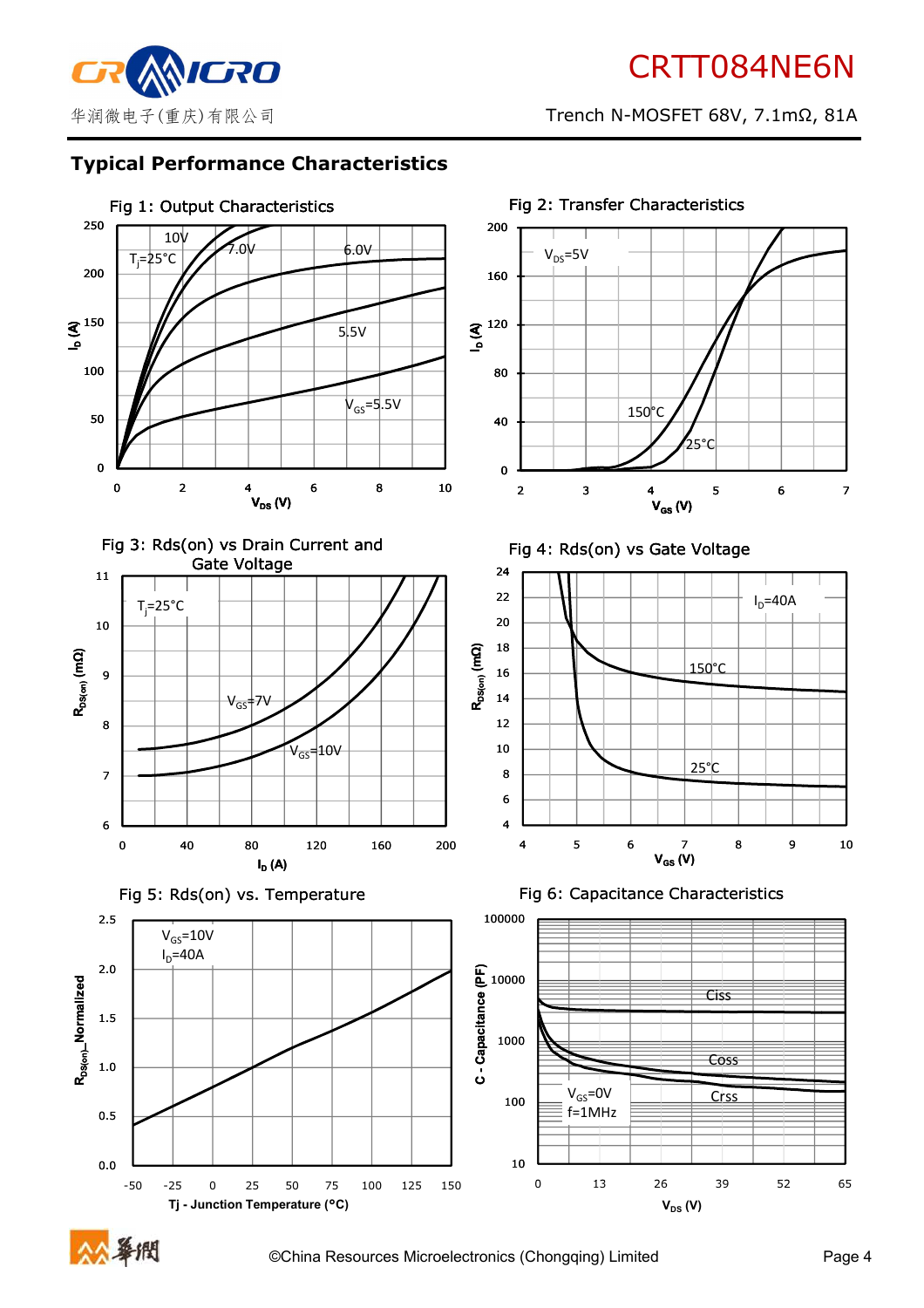

# **Typical Performance Characteristics**



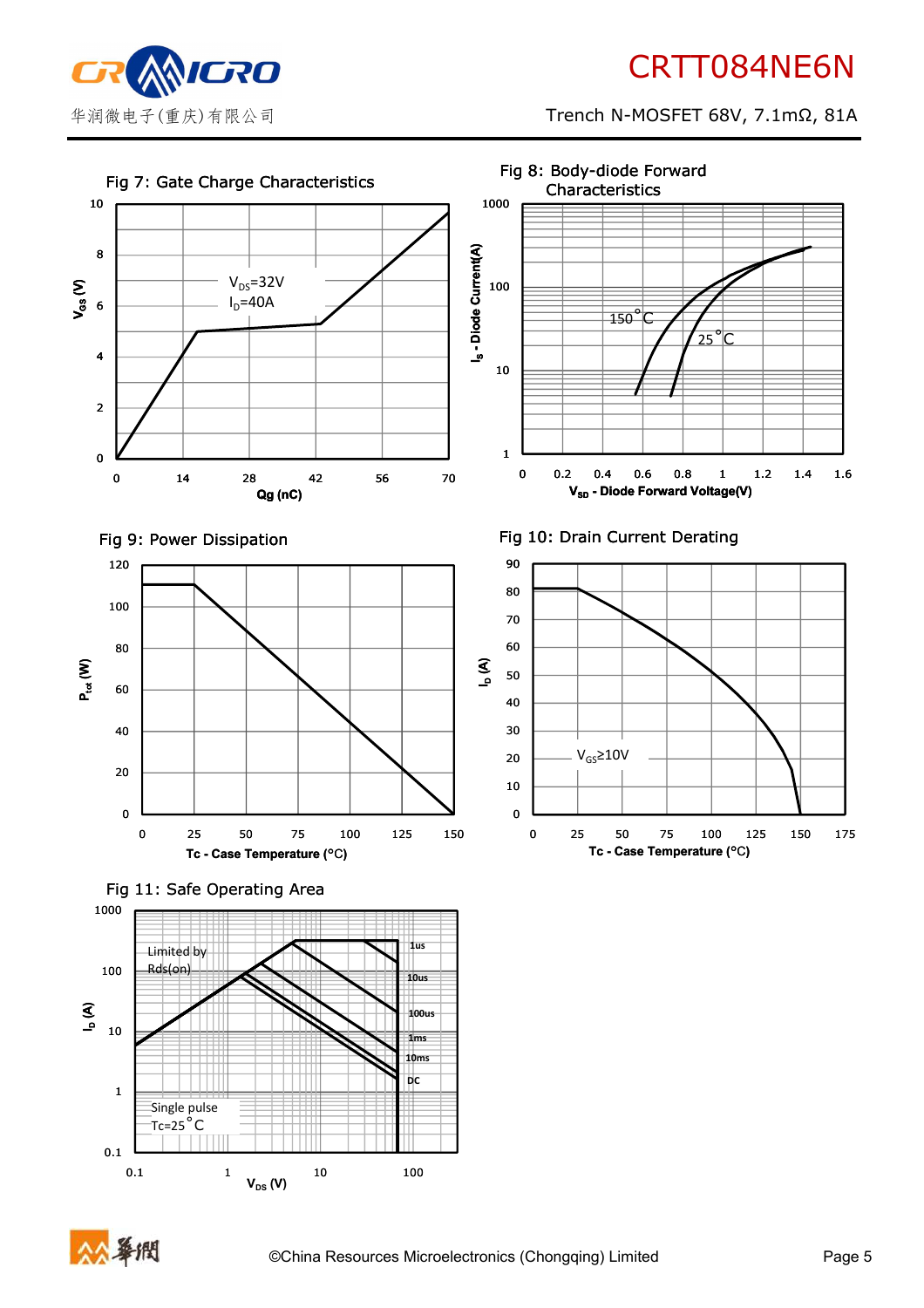

# CRTT084NE6N

华润微电子(重庆)有限公司 Trench N-MOSFET 68V, 7.1mΩ, 81A





0.1 1 10 100

 $V_{DS}$  (V)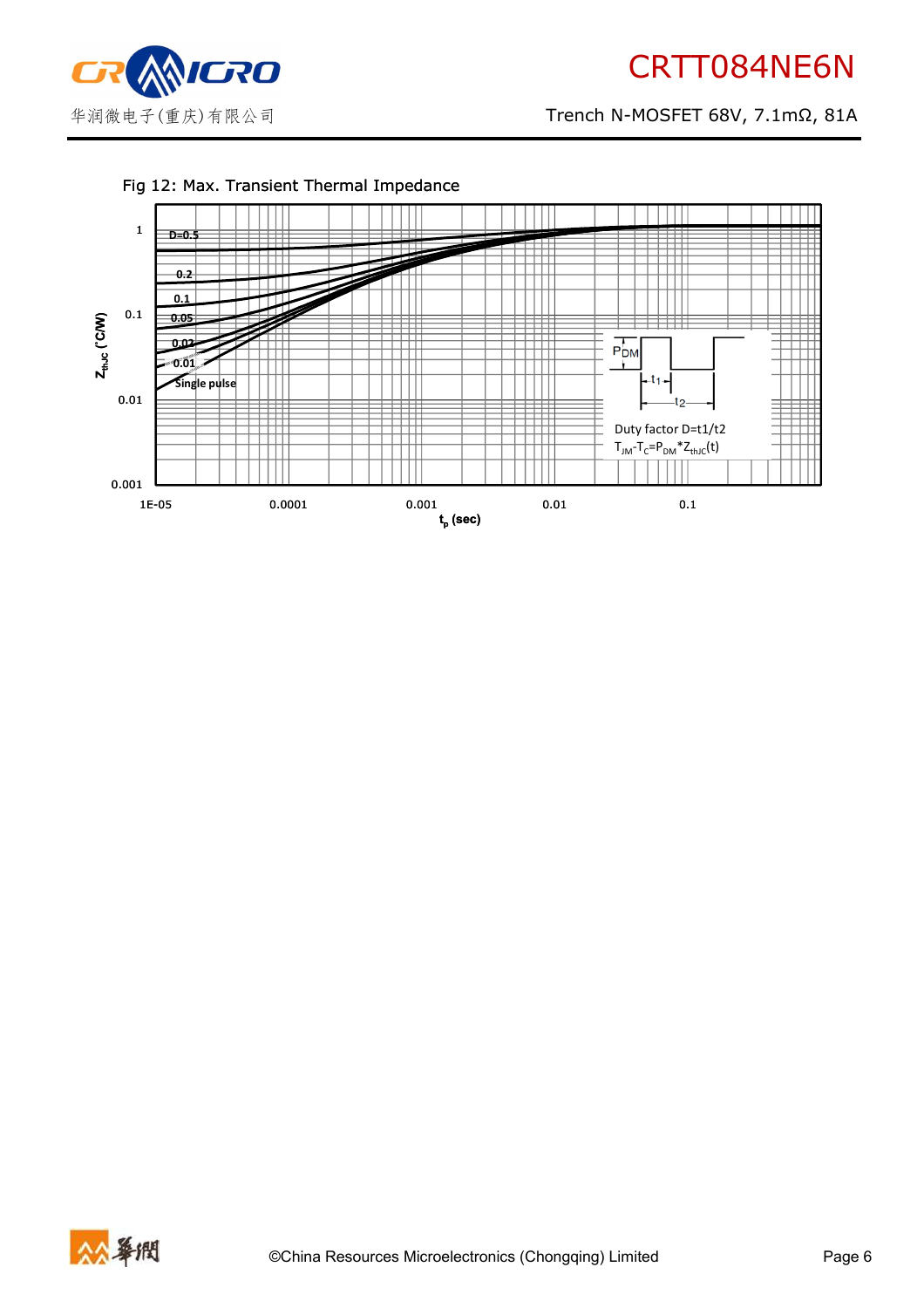

# CRTT084NE6N

华润微电子(重庆)有限公司 Trench N-MOSFET 68V, 7.1mΩ, 81A



#### Fig 12: Max. Transient Thermal Impedance



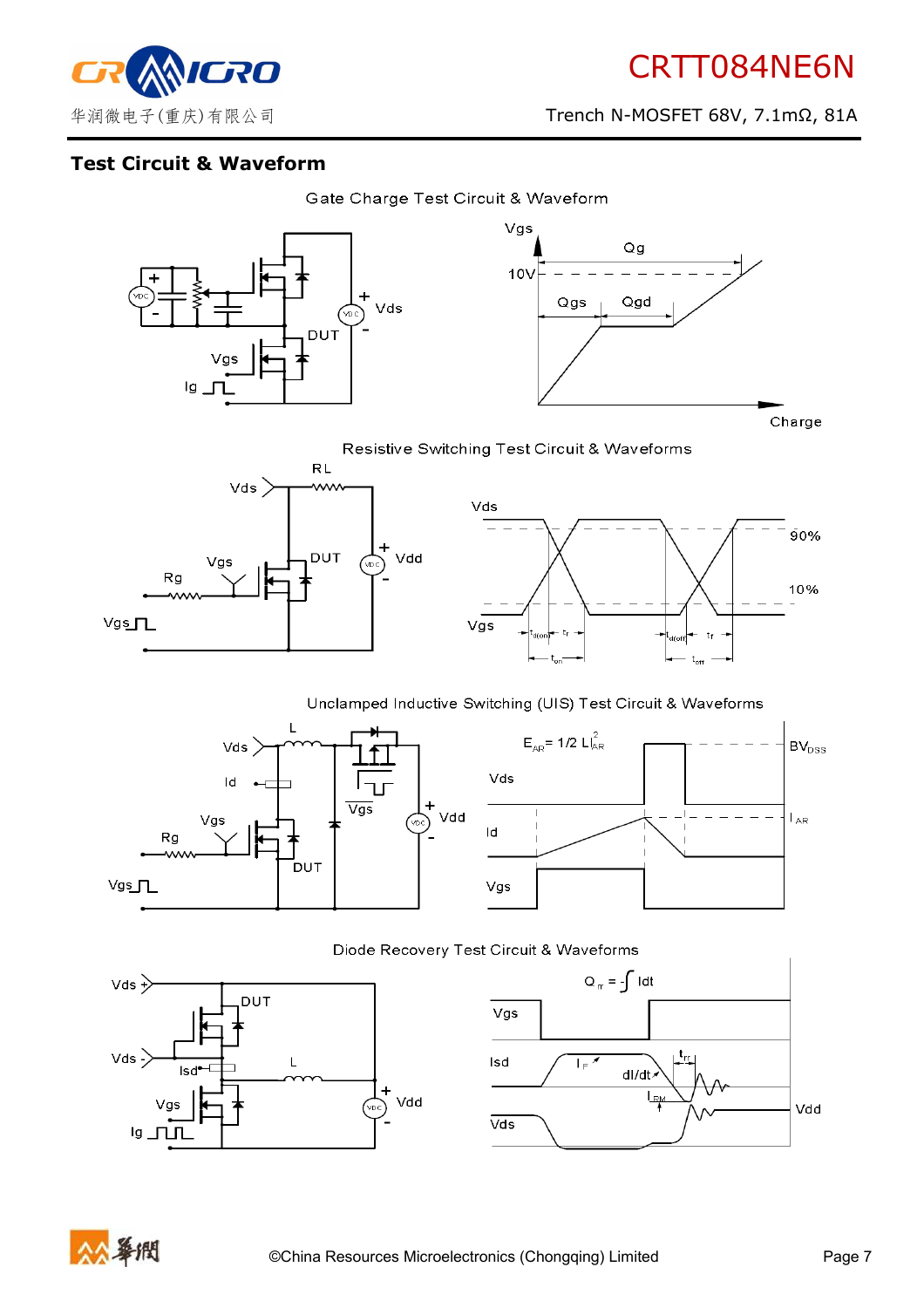90%

10%



华润微电子(重庆)有限公司 Trench N-MOSFET 68V, 7.1mΩ, 81A

# **Test Circuit & Waveform**





Resistive Switching Test Circuit & Waveforms



#### Unclamped Inductive Switching (UIS) Test Circuit & Waveforms





 $t_f$  $t_{\alpha\alpha}$ 







Vdd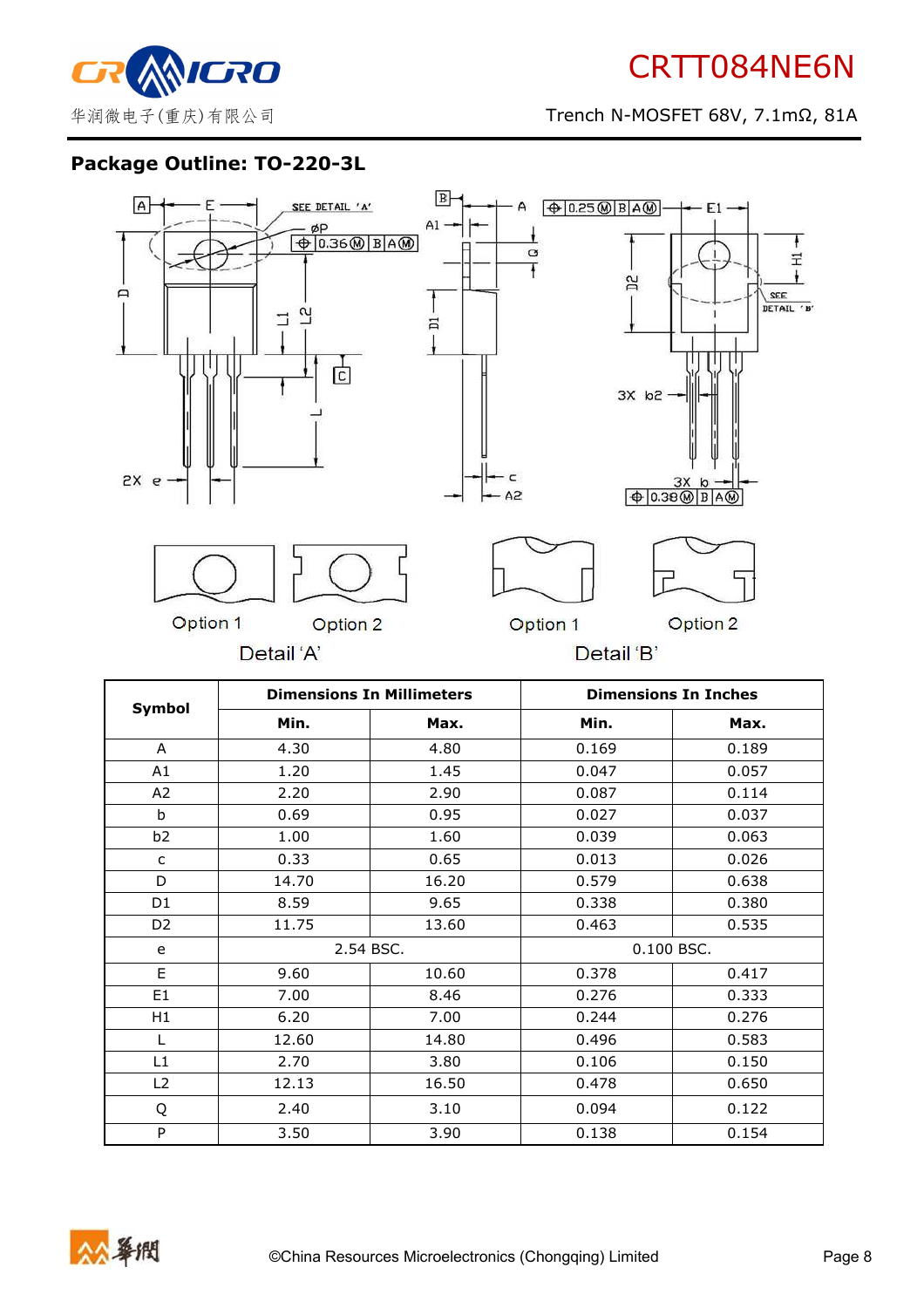# **Package Outline: TO-220-3L**



|                |       | <b>Dimensions In Millimeters</b> |       | <b>Dimensions In Inches</b> |  |
|----------------|-------|----------------------------------|-------|-----------------------------|--|
| Symbol         | Min.  | Max.                             | Min.  | Max.                        |  |
| A              | 4.30  | 4.80                             | 0.169 | 0.189                       |  |
| A1             | 1.20  | 1.45                             | 0.047 | 0.057                       |  |
| A2             | 2.20  | 2.90                             | 0.087 | 0.114                       |  |
| b              | 0.69  | 0.95                             | 0.027 | 0.037                       |  |
| b <sub>2</sub> | 1.00  | 1.60                             | 0.039 | 0.063                       |  |
| $\mathsf{C}$   | 0.33  | 0.65                             | 0.013 | 0.026                       |  |
| D              | 14.70 | 16.20                            | 0.579 | 0.638                       |  |
| D1             | 8.59  | 9.65                             | 0.338 | 0.380                       |  |
| D <sub>2</sub> | 11.75 | 13.60                            | 0.463 | 0.535                       |  |
| e              |       | 2.54 BSC.                        |       | 0.100 BSC.                  |  |
| E              | 9.60  | 10.60                            | 0.378 | 0.417                       |  |
| E <sub>1</sub> | 7.00  | 8.46                             | 0.276 | 0.333                       |  |
| H1             | 6.20  | 7.00                             | 0.244 | 0.276                       |  |
| L              | 12.60 | 14.80                            | 0.496 | 0.583                       |  |
| L1             | 2.70  | 3.80                             | 0.106 | 0.150                       |  |
| L2             | 12.13 | 16.50                            | 0.478 | 0.650                       |  |
| Q              | 2.40  | 3.10                             | 0.094 | 0.122                       |  |
| P              | 3.50  | 3.90                             | 0.138 | 0.154                       |  |